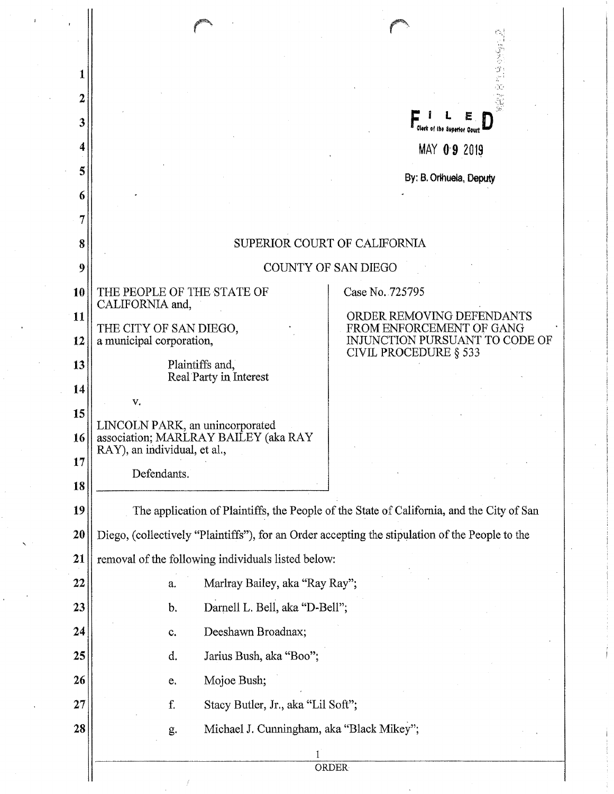| 1        |                                                                                                 |                                                         |  |
|----------|-------------------------------------------------------------------------------------------------|---------------------------------------------------------|--|
| 2        |                                                                                                 |                                                         |  |
| 3        |                                                                                                 | Clerk of the Superior Court                             |  |
| 4        |                                                                                                 | MAY 09 2019                                             |  |
| 5        |                                                                                                 | By: B. Orihuela, Deputy                                 |  |
| 6        |                                                                                                 |                                                         |  |
| 7        |                                                                                                 |                                                         |  |
| 8        | SUPERIOR COURT OF CALIFORNIA                                                                    |                                                         |  |
| 9        |                                                                                                 | <b>COUNTY OF SAN DIEGO</b>                              |  |
| 10       | THE PEOPLE OF THE STATE OF<br>CALIFORNIA and,                                                   | Case No. 725795                                         |  |
| 11       | THE CITY OF SAN DIEGO,                                                                          | ORDER REMOVING DEFENDANTS<br>FROM ENFORCEMENT OF GANG   |  |
| 12       | a municipal corporation,                                                                        | INJUNCTION PURSUANT TO CODE OF<br>CIVIL PROCEDURE § 533 |  |
| 13       | Plaintiffs and,<br>Real Party in Interest                                                       |                                                         |  |
| 14<br>15 | V,                                                                                              |                                                         |  |
| 16       | LINCOLN PARK, an unincorporated<br>association; MARLRAY BAILEY (aka RAY                         |                                                         |  |
| 17       | RAY), an individual, et al.,                                                                    |                                                         |  |
| 18       | Defendants.                                                                                     |                                                         |  |
| 19       | The application of Plaintiffs, the People of the State of California, and the City of San       |                                                         |  |
| 20       | Diego, (collectively "Plaintiffs"), for an Order accepting the stipulation of the People to the |                                                         |  |
| 21       | removal of the following individuals listed below:                                              |                                                         |  |
| 22       | Marlray Bailey, aka "Ray Ray";<br>a.                                                            |                                                         |  |
| 23       | Darnell L. Bell, aka "D-Bell";<br>b.                                                            |                                                         |  |
| 24       | Deeshawn Broadnax;<br>$\mathbf{c}$ .                                                            |                                                         |  |
| 25       | Jarius Bush, aka "Boo";<br>d.                                                                   |                                                         |  |
| 26       | Mojoe Bush;<br>e.                                                                               |                                                         |  |
| 27       | f.<br>Stacy Butler, Jr., aka "Lil Soft";                                                        |                                                         |  |
| 28       | Michael J. Cunningham, aka "Black Mikey";<br>g.                                                 |                                                         |  |
|          |                                                                                                 |                                                         |  |
|          |                                                                                                 | <b>ORDER</b>                                            |  |

'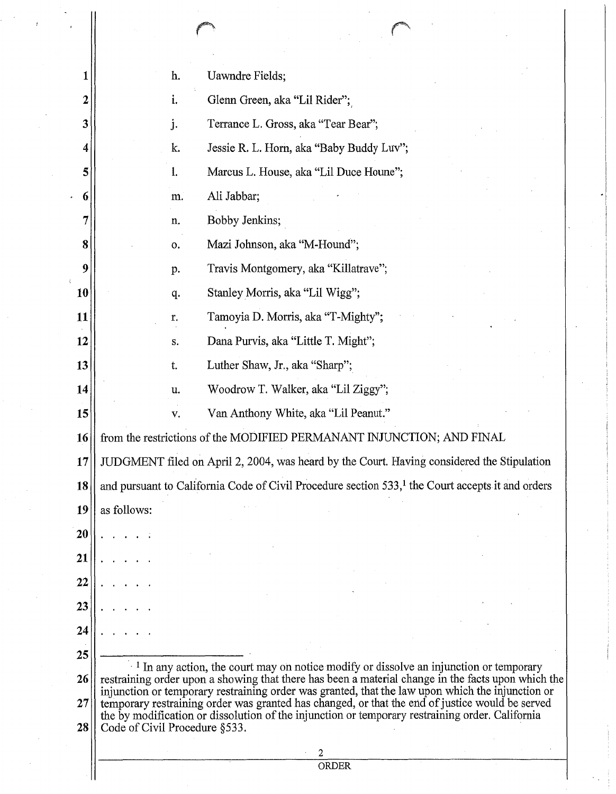|    | h.                                                                                                                                                                                                      | Uawndre Fields;                          |  |
|----|---------------------------------------------------------------------------------------------------------------------------------------------------------------------------------------------------------|------------------------------------------|--|
| 2  | i.                                                                                                                                                                                                      | Glenn Green, aka "Lil Rider";            |  |
| 3  | j.                                                                                                                                                                                                      | Terrance L. Gross, aka "Tear Bear";      |  |
| 4  | k.                                                                                                                                                                                                      | Jessie R. L. Horn, aka "Baby Buddy Luv"; |  |
| 5  | Marcus L. House, aka "Lil Duce Houne";<br>1.                                                                                                                                                            |                                          |  |
| 6  | m.                                                                                                                                                                                                      | Ali Jabbar;                              |  |
|    | n.                                                                                                                                                                                                      | Bobby Jenkins;                           |  |
| 8  | о.                                                                                                                                                                                                      | Mazi Johnson, aka "M-Hound";             |  |
| 9  | Travis Montgomery, aka "Killatrave";<br>p.                                                                                                                                                              |                                          |  |
| 10 | Stanley Morris, aka "Lil Wigg";<br>q.                                                                                                                                                                   |                                          |  |
| 11 | r.                                                                                                                                                                                                      | Tamoyia D. Morris, aka "T-Mighty";       |  |
| 12 | Dana Purvis, aka "Little T. Might";<br>$\mathbf{S}_{\star}$                                                                                                                                             |                                          |  |
| 13 | t.                                                                                                                                                                                                      | Luther Shaw, Jr., aka "Sharp";           |  |
| 14 | u.                                                                                                                                                                                                      | Woodrow T. Walker, aka "Lil Ziggy";      |  |
| 15 | V.                                                                                                                                                                                                      | Van Anthony White, aka "Lil Peanut."     |  |
| 16 | from the restrictions of the MODIFIED PERMANANT INJUNCTION; AND FINAL                                                                                                                                   |                                          |  |
| 17 | JUDGMENT filed on April 2, 2004, was heard by the Court. Having considered the Stipulation                                                                                                              |                                          |  |
| 18 | and pursuant to California Code of Civil Procedure section 533, <sup>1</sup> the Court accepts it and orders                                                                                            |                                          |  |
| 19 | as follows:                                                                                                                                                                                             |                                          |  |
| 20 |                                                                                                                                                                                                         |                                          |  |
| 21 |                                                                                                                                                                                                         |                                          |  |
| 22 |                                                                                                                                                                                                         |                                          |  |
| 23 |                                                                                                                                                                                                         |                                          |  |
| 24 |                                                                                                                                                                                                         |                                          |  |
| 25 |                                                                                                                                                                                                         |                                          |  |
| 26 | <sup>1</sup> In any action, the court may on notice modify or dissolve an injunction or temporary<br>restraining order upon a showing that there has been a material change in the facts upon which the |                                          |  |
| 27 | injunction or temporary restraining order was granted, that the law upon which the injunction or<br>temporary restraining order was granted has changed, or that the end of justice would be served     |                                          |  |
| 28 | the by modification or dissolution of the injunction or temporary restraining order. California<br>Code of Civil Procedure §533.                                                                        |                                          |  |
|    |                                                                                                                                                                                                         |                                          |  |
|    |                                                                                                                                                                                                         | <b>ORDER</b>                             |  |